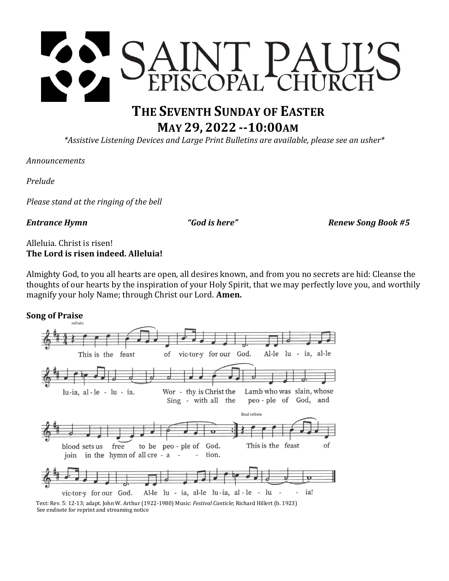

# **THE SEVENTH SUNDAY OF EASTER MAY 29, 2022 --10:00AM**

*\*Assistive Listening Devices and Large Print Bulletins are available, please see an usher\**

*Announcements* 

*Prelude* 

*Please stand at the ringing of the bell*

*Entrance Hymn "God is here" Renew Song Book #5*

Alleluia. Christ is risen! **The Lord is risen indeed. Alleluia!**

Almighty God, to you all hearts are open, all desires known, and from you no secrets are hid: Cleanse the thoughts of our hearts by the inspiration of your Holy Spirit, that we may perfectly love you, and worthily magnify your holy Name; through Christ our Lord. **Amen.**

### **Song of Praise**



See endnote for reprint and streaming notice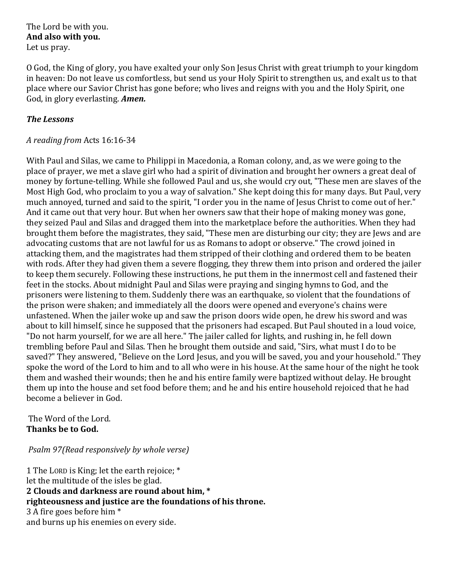The Lord be with you. **And also with you.** Let us pray.

O God, the King of glory, you have exalted your only Son Jesus Christ with great triumph to your kingdom in heaven: Do not leave us comfortless, but send us your Holy Spirit to strengthen us, and exalt us to that place where our Savior Christ has gone before; who lives and reigns with you and the Holy Spirit, one God, in glory everlasting. *Amen.*

### *The Lessons*

### *A reading from* Acts 16:16-34

With Paul and Silas, we came to Philippi in Macedonia, a Roman colony, and, as we were going to the place of prayer, we met a slave girl who had a spirit of divination and brought her owners a great deal of money by fortune-telling. While she followed Paul and us, she would cry out, "These men are slaves of the Most High God, who proclaim to you a way of salvation." She kept doing this for many days. But Paul, very much annoyed, turned and said to the spirit, "I order you in the name of Jesus Christ to come out of her." And it came out that very hour. But when her owners saw that their hope of making money was gone, they seized Paul and Silas and dragged them into the marketplace before the authorities. When they had brought them before the magistrates, they said, "These men are disturbing our city; they are Jews and are advocating customs that are not lawful for us as Romans to adopt or observe." The crowd joined in attacking them, and the magistrates had them stripped of their clothing and ordered them to be beaten with rods. After they had given them a severe flogging, they threw them into prison and ordered the jailer to keep them securely. Following these instructions, he put them in the innermost cell and fastened their feet in the stocks. About midnight Paul and Silas were praying and singing hymns to God, and the prisoners were listening to them. Suddenly there was an earthquake, so violent that the foundations of the prison were shaken; and immediately all the doors were opened and everyone's chains were unfastened. When the jailer woke up and saw the prison doors wide open, he drew his sword and was about to kill himself, since he supposed that the prisoners had escaped. But Paul shouted in a loud voice, "Do not harm yourself, for we are all here." The jailer called for lights, and rushing in, he fell down trembling before Paul and Silas. Then he brought them outside and said, "Sirs, what must I do to be saved?" They answered, "Believe on the Lord Jesus, and you will be saved, you and your household." They spoke the word of the Lord to him and to all who were in his house. At the same hour of the night he took them and washed their wounds; then he and his entire family were baptized without delay. He brought them up into the house and set food before them; and he and his entire household rejoiced that he had become a believer in God.

### The Word of the Lord. **Thanks be to God.**

*Psalm 97(Read responsively by whole verse)*

1 The LORD is King; let the earth rejoice; \* let the multitude of the isles be glad. **2 Clouds and darkness are round about him, \* righteousness and justice are the foundations of his throne.** 3 A fire goes before him \* and burns up his enemies on every side.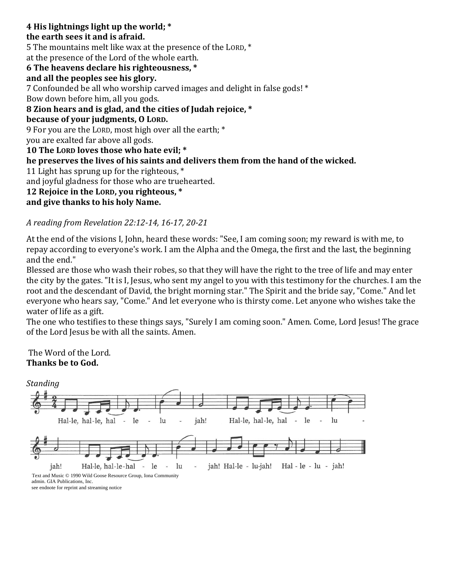### **4 His lightnings light up the world; \* the earth sees it and is afraid.** 5 The mountains melt like wax at the presence of the LORD, \* at the presence of the Lord of the whole earth. **6 The heavens declare his righteousness, \* and all the peoples see his glory.** 7 Confounded be all who worship carved images and delight in false gods! \* Bow down before him, all you gods. **8 Zion hears and is glad, and the cities of Judah rejoice, \* because of your judgments, O LORD.** 9 For you are the LORD, most high over all the earth; \* you are exalted far above all gods. **10 The LORD loves those who hate evil; \* he preserves the lives of his saints and delivers them from the hand of the wicked.** 11 Light has sprung up for the righteous, \* and joyful gladness for those who are truehearted. **12 Rejoice in the LORD, you righteous, \* and give thanks to his holy Name.**

### *A reading from Revelation 22:12-14, 16-17, 20-21*

At the end of the visions I, John, heard these words: "See, I am coming soon; my reward is with me, to repay according to everyone's work. I am the Alpha and the Omega, the first and the last, the beginning and the end."

Blessed are those who wash their robes, so that they will have the right to the tree of life and may enter the city by the gates. "It is I, Jesus, who sent my angel to you with this testimony for the churches. I am the root and the descendant of David, the bright morning star." The Spirit and the bride say, "Come." And let everyone who hears say, "Come." And let everyone who is thirsty come. Let anyone who wishes take the water of life as a gift.

The one who testifies to these things says, "Surely I am coming soon." Amen. Come, Lord Jesus! The grace of the Lord Jesus be with all the saints. Amen.

The Word of the Lord. **Thanks be to God.**



 admin. GIA Publications, Inc. see endnote for reprint and streaming notice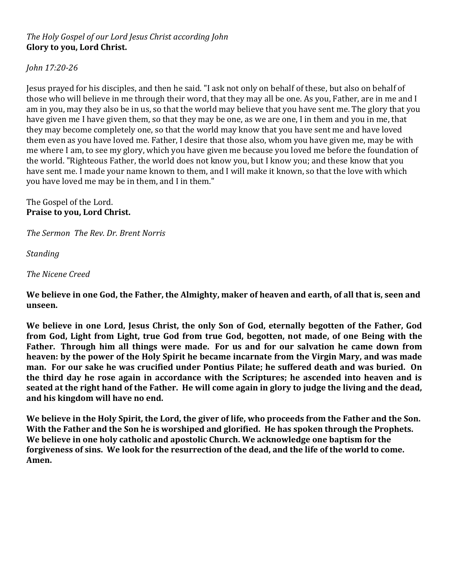### *The Holy Gospel of our Lord Jesus Christ according John* **Glor Glory to you, Lord Christ.**

### *John 17:20-26*

Jesus prayed for his disciples, and then he said. "I ask not only on behalf of these, but also on behalf of those who will believe in me through their word, that they may all be one. As you, Father, are in me and I am in you, may they also be in us, so that the world may believe that you have sent me. The glory that you have given me I have given them, so that they may be one, as we are one, I in them and you in me, that they may become completely one, so that the world may know that you have sent me and have loved them even as you have loved me. Father, I desire that those also, whom you have given me, may be with me where I am, to see my glory, which you have given me because you loved me before the foundation of the world. "Righteous Father, the world does not know you, but I know you; and these know that you have sent me. I made your name known to them, and I will make it known, so that the love with which you have loved me may be in them, and I in them."

The Gospel of the Lord. **Praise to you, Lord Christ.**

*The Sermon The Rev. Dr. Brent Norris*

*Standing*

*The Nicene Creed*

**We believe in one God, the Father, the Almighty, maker of heaven and earth, of all that is, seen and unseen.**

**We believe in one Lord, Jesus Christ, the only Son of God, eternally begotten of the Father, God from God, Light from Light, true God from true God, begotten, not made, of one Being with the Father. Through him all things were made. For us and for our salvation he came down from heaven: by the power of the Holy Spirit he became incarnate from the Virgin Mary, and was made man. For our sake he was crucified under Pontius Pilate; he suffered death and was buried. On the third day he rose again in accordance with the Scriptures; he ascended into heaven and is seated at the right hand of the Father. He will come again in glory to judge the living and the dead, and his kingdom will have no end.**

**We believe in the Holy Spirit, the Lord, the giver of life, who proceeds from the Father and the Son. With the Father and the Son he is worshiped and glorified. He has spoken through the Prophets. We believe in one holy catholic and apostolic Church. We acknowledge one baptism for the forgiveness of sins. We look for the resurrection of the dead, and the life of the world to come. Amen.**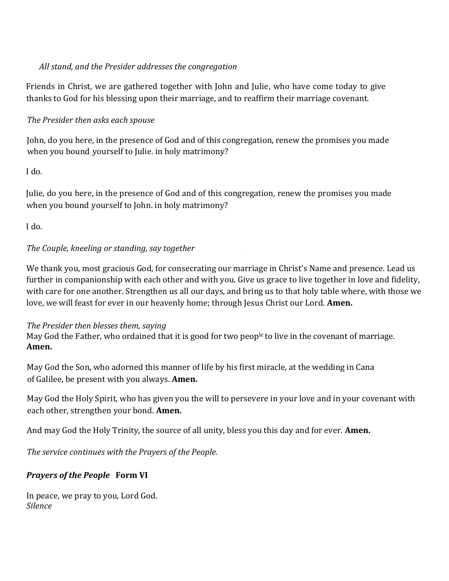## *All stand, and the Presider addresses the congregation*

Friends in Christ, we are gathered together with John and Julie, who have come today to give thanks to God for his blessing upon their marriage, and to reaffirm their marriage covenant.

# *The Presider then asks each spouse*

John, do you here, in the presence of God and of this congregation, renew the promises you made when you bound yourself to Julie. in holy matrimony?

I do.

Julie, do you here, in the presence of God and of this congregation, renew the promises you made when you bound yourself to John. in holy matrimony?

I do.

# *The Couple, kneeling or standing, say together*

We thank you, most gracious God, for consecrating our marriage in Christ's Name and presence. Lead us further in companionship with each other and with you. Give us grace to live together in love and fidelity, with care for one another. Strengthen us all our days, and bring us to that holy table where, with those we love, we will feast for ever in our heavenly home; through Jesus Christ our Lord. **Amen.**

### *The Presider then blesses them, saying*

May God the Father, who ordained that it is good for two people to live in the covenant of marriage. **Amen.**

May God the Son, who adorned this manner of life by his first miracle, at the wedding in Cana of Galilee, be present with you always. **Amen.**

May God the Holy Spirit, who has given you the will to persevere in your love and in your covenant with each other, strengthen your bond. **Amen.**

And may God the Holy Trinity, the source of all unity, bless you this day and for ever. **Amen.**

*The service continues with the Prayers of the People.*

# *Prayers of the People* **Form VI**

In peace, we pray to you, Lord God. *Silence*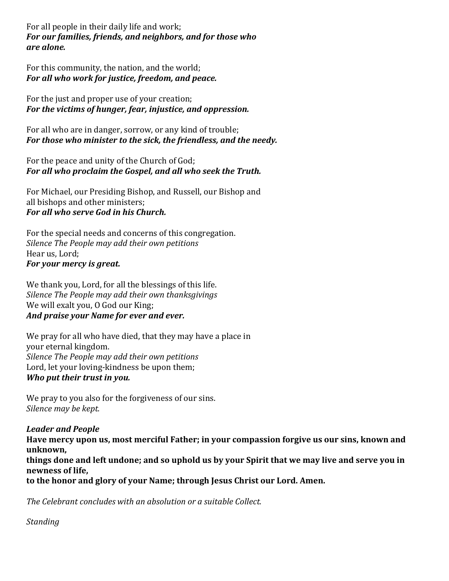For all people in their daily life and work; *For our families, friends, and neighbors, and for those who are alone.*

For this community, the nation, and the world; *For all who work for justice, freedom, and peace.*

For the just and proper use of your creation; *For the victims of hunger, fear, injustice, and oppression.*

For all who are in danger, sorrow, or any kind of trouble; *For those who minister to the sick, the friendless, and the needy.*

For the peace and unity of the Church of God; *For all who proclaim the Gospel, and all who seek the Truth.*

For Michael, our Presiding Bishop, and Russell, our Bishop and all bishops and other ministers; *For all who serve God in his Church.*

For the special needs and concerns of this congregation. *Silence The People may add their own petitions* Hear us, Lord; *For your mercy is great.*

We thank you, Lord, for all the blessings of this life. *Silence The People may add their own thanksgivings* We will exalt you, O God our King; *And praise your Name for ever and ever.*

We pray for all who have died, that they may have a place in your eternal kingdom. *Silence The People may add their own petitions* Lord, let your loving-kindness be upon them; *Who put their trust in you.*

We pray to you also for the forgiveness of our sins. *Silence may be kept.*

*Leader and People* **Have mercy upon us, most merciful Father; in your compassion forgive us our sins, known and unknown,**

**things done and left undone; and so uphold us by your Spirit that we may live and serve you in newness of life,**

**to the honor and glory of your Name; through Jesus Christ our Lord. Amen.**

*The Celebrant concludes with an absolution or a suitable Collect.*

*Standing*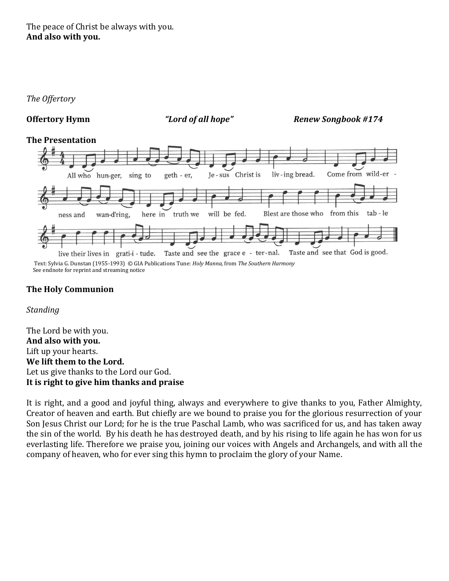#### The peace of Christ be always with you. **And also with you.**

### *The Offertory*



**Offertory Hymn** *"Lord of all hope" Renew Songbook #174*



 Text: Sylvia G. Dunstan (1955-1993) © GIA Publications Tune: *Holy Manna,* from *The Southern Harmony* See endnote for reprint and streaming notice

### **The Holy Communion**

### *Standing*

The Lord be with you. **And also with you.** Lift up your hearts. **We lift them to the Lord.** Let us give thanks to the Lord our God. **It is right to give him thanks and praise**

It is right, and a good and joyful thing, always and everywhere to give thanks to you, Father Almighty, Creator of heaven and earth. But chiefly are we bound to praise you for the glorious resurrection of your Son Jesus Christ our Lord; for he is the true Paschal Lamb, who was sacrificed for us, and has taken away the sin of the world. By his death he has destroyed death, and by his rising to life again he has won for us everlasting life. Therefore we praise you, joining our voices with Angels and Archangels, and with all the company of heaven, who for ever sing this hymn to proclaim the glory of your Name.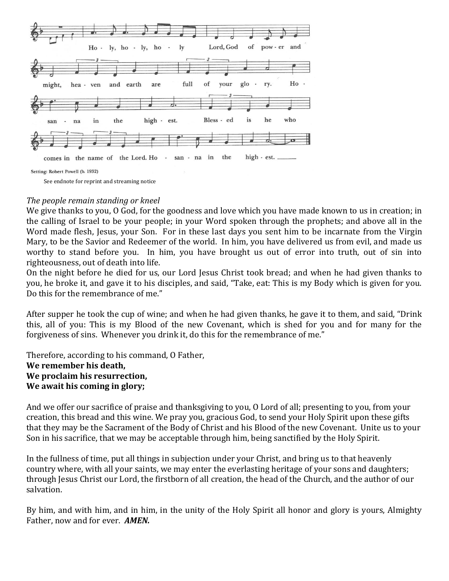

See endnote for reprint and streaming notice

#### *The people remain standing or kneel*

We give thanks to you, O God, for the goodness and love which you have made known to us in creation; in the calling of Israel to be your people; in your Word spoken through the prophets; and above all in the Word made flesh, Jesus, your Son. For in these last days you sent him to be incarnate from the Virgin Mary, to be the Savior and Redeemer of the world. In him, you have delivered us from evil, and made us worthy to stand before you. In him, you have brought us out of error into truth, out of sin into righteousness, out of death into life.

On the night before he died for us, our Lord Jesus Christ took bread; and when he had given thanks to you, he broke it, and gave it to his disciples, and said, "Take, eat: This is my Body which is given for you. Do this for the remembrance of me."

After supper he took the cup of wine; and when he had given thanks, he gave it to them, and said, "Drink this, all of you: This is my Blood of the new Covenant, which is shed for you and for many for the forgiveness of sins. Whenever you drink it, do this for the remembrance of me."

Therefore, according to his command, O Father, **We remember his death, We proclaim his resurrection, We await his coming in glory;**

And we offer our sacrifice of praise and thanksgiving to you, O Lord of all; presenting to you, from your creation, this bread and this wine. We pray you, gracious God, to send your Holy Spirit upon these gifts that they may be the Sacrament of the Body of Christ and his Blood of the new Covenant. Unite us to your Son in his sacrifice, that we may be acceptable through him, being sanctified by the Holy Spirit.

In the fullness of time, put all things in subjection under your Christ, and bring us to that heavenly country where, with all your saints, we may enter the everlasting heritage of your sons and daughters; through Jesus Christ our Lord, the firstborn of all creation, the head of the Church, and the author of our salvation.

By him, and with him, and in him, in the unity of the Holy Spirit all honor and glory is yours, Almighty Father, now and for ever. *AMEN.*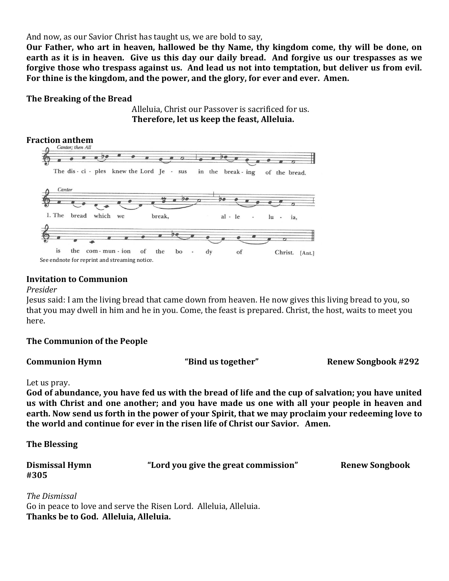And now, as our Savior Christ has taught us, we are bold to say,

**Our Father, who art in heaven, hallowed be thy Name, thy kingdom come, thy will be done, on earth as it is in heaven. Give us this day our daily bread. And forgive us our trespasses as we forgive those who trespass against us. And lead us not into temptation, but deliver us from evil. For thine is the kingdom, and the power, and the glory, for ever and ever. Amen.**

#### **The Breaking of the Bread**

Alleluia, Christ our Passover is sacrificed for us. **Therefore, let us keep the feast, Alleluia.**



#### **Invitation to Communion**

*Presider* 

Jesus said: I am the living bread that came down from heaven. He now gives this living bread to you, so that you may dwell in him and he in you. Come, the feast is prepared. Christ, the host, waits to meet you here.

#### **The Communion of the People**

**Communion Hymn 1202 "Bind us together" Renew Songbook #292** 

Let us pray.

**God of abundance, you have fed us with the bread of life and the cup of salvation; you have united us with Christ and one another; and you have made us one with all your people in heaven and earth. Now send us forth in the power of your Spirit, that we may proclaim your redeeming love to the world and continue for ever in the risen life of Christ our Savior. Amen.**

**The Blessing**

| Dismissal Hymn<br>#305 | "Lord you give the great commission"                              | <b>Renew Songbook</b> |
|------------------------|-------------------------------------------------------------------|-----------------------|
| The Dismissal          |                                                                   |                       |
|                        | Go in peace to love and serve the Risen Lord. Alleluia, Alleluia. |                       |

**Thanks be to God. Alleluia, Alleluia.**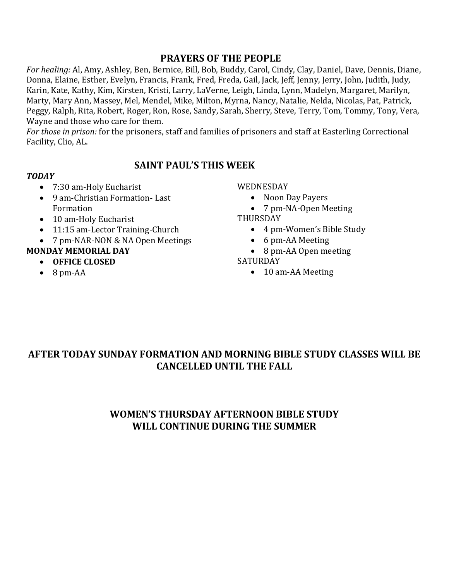## **PRAYERS OF THE PEOPLE**

*For healing:* Al, Amy, Ashley, Ben, Bernice, Bill, Bob, Buddy, Carol, Cindy, Clay, Daniel, Dave, Dennis, Diane, Donna, Elaine, Esther, Evelyn, Francis, Frank, Fred, Freda, Gail, Jack, Jeff, Jenny, Jerry, John, Judith, Judy, Karin, Kate, Kathy, Kim, Kirsten, Kristi, Larry, LaVerne, Leigh, Linda, Lynn, Madelyn, Margaret, Marilyn, Marty, Mary Ann, Massey, Mel, Mendel, Mike, Milton, Myrna, Nancy, Natalie, Nelda, Nicolas, Pat, Patrick, Peggy, Ralph, Rita, Robert, Roger, Ron, Rose, Sandy, Sarah, Sherry, Steve, Terry, Tom, Tommy, Tony, Vera, Wayne and those who care for them.

*For those in prison:* for the prisoners, staff and families of prisoners and staff at Easterling Correctional Facility, Clio, AL.

# **SAINT PAUL'S THIS WEEK**

### *TODAY*

- 7:30 am-Holy Eucharist
- 9 am-Christian Formation- Last Formation
- 10 am-Holy Eucharist
- 11:15 am-Lector Training-Church
- 7 pm-NAR-NON & NA Open Meetings

## **MONDAY MEMORIAL DAY**

- **OFFICE CLOSED**
- 8 pm-AA

**WEDNESDAY** 

- Noon Day Payers
- 7 pm-NA-Open Meeting THURSDAY

- 4 pm-Women's Bible Study
- 6 pm-AA Meeting
- 8 pm-AA Open meeting
- **SATURDAY** 
	- 10 am-AA Meeting

# **AFTER TODAY SUNDAY FORMATION AND MORNING BIBLE STUDY CLASSES WILL BE CANCELLED UNTIL THE FALL**

# **WOMEN'S THURSDAY AFTERNOON BIBLE STUDY WILL CONTINUE DURING THE SUMMER**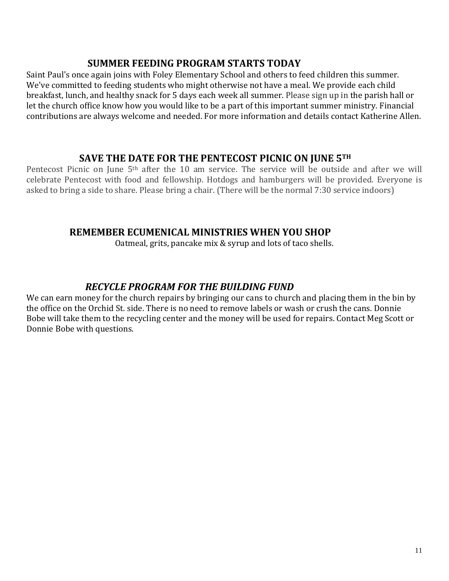# **SUMMER FEEDING PROGRAM STARTS TODAY**

Saint Paul's once again joins with Foley Elementary School and others to feed children this summer. We've committed to feeding students who might otherwise not have a meal. We provide each child breakfast, lunch, and healthy snack for 5 days each week all summer. Please sign up in the parish hall or let the church office know how you would like to be a part of this important summer ministry. Financial contributions are always welcome and needed. For more information and details contact Katherine Allen.

# **SAVE THE DATE FOR THE PENTECOST PICNIC ON JUNE 5TH**

Pentecost Picnic on June 5<sup>th</sup> after the 10 am service. The service will be outside and after we will celebrate Pentecost with food and fellowship. Hotdogs and hamburgers will be provided. Everyone is asked to bring a side to share. Please bring a chair. (There will be the normal 7:30 service indoors)

# **REMEMBER ECUMENICAL MINISTRIES WHEN YOU SHOP**

Oatmeal, grits, pancake mix & syrup and lots of taco shells.

# *RECYCLE PROGRAM FOR THE BUILDING FUND*

We can earn money for the church repairs by bringing our cans to church and placing them in the bin by the office on the Orchid St. side. There is no need to remove labels or wash or crush the cans. Donnie Bobe will take them to the recycling center and the money will be used for repairs. Contact Meg Scott or Donnie Bobe with questions.